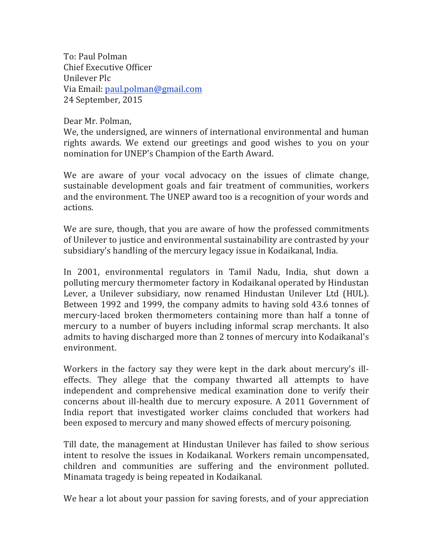To: Paul Polman Chief Executive Officer Unilever Plc Via Email: paul.polman@gmail.com 24 September, 2015

Dear Mr. Polman.

We, the undersigned, are winners of international environmental and human rights awards. We extend our greetings and good wishes to you on your nomination for UNEP's Champion of the Earth Award.

We are aware of your vocal advocacy on the issues of climate change, sustainable development goals and fair treatment of communities, workers and the environment. The UNEP award too is a recognition of your words and actions.

We are sure, though, that you are aware of how the professed commitments of Unilever to justice and environmental sustainability are contrasted by your subsidiary's handling of the mercury legacy issue in Kodaikanal, India.

In 2001, environmental regulators in Tamil Nadu, India, shut down a polluting mercury thermometer factory in Kodaikanal operated by Hindustan Lever, a Unilever subsidiary, now renamed Hindustan Unilever Ltd (HUL). Between 1992 and 1999, the company admits to having sold 43.6 tonnes of mercury-laced broken thermometers containing more than half a tonne of mercury to a number of buyers including informal scrap merchants. It also admits to having discharged more than 2 tonnes of mercury into Kodaikanal's environment.

Workers in the factory say they were kept in the dark about mercury's illeffects. They allege that the company thwarted all attempts to have independent and comprehensive medical examination done to verify their concerns about ill-health due to mercury exposure. A 2011 Government of India report that investigated worker claims concluded that workers had been exposed to mercury and many showed effects of mercury poisoning.

Till date, the management at Hindustan Unilever has failed to show serious intent to resolve the issues in Kodaikanal. Workers remain uncompensated, children and communities are suffering and the environment polluted. Minamata tragedy is being repeated in Kodaikanal.

We hear a lot about your passion for saving forests, and of your appreciation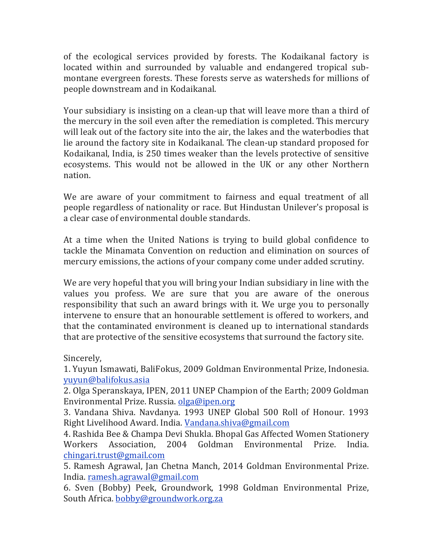of the ecological services provided by forests. The Kodaikanal factory is located within and surrounded by valuable and endangered tropical submontane evergreen forests. These forests serve as watersheds for millions of people downstream and in Kodaikanal.

Your subsidiary is insisting on a clean-up that will leave more than a third of the mercury in the soil even after the remediation is completed. This mercury will leak out of the factory site into the air, the lakes and the waterbodies that lie around the factory site in Kodaikanal. The clean-up standard proposed for Kodaikanal, India, is 250 times weaker than the levels protective of sensitive ecosystems. This would not be allowed in the UK or any other Northern nation.

We are aware of your commitment to fairness and equal treatment of all people regardless of nationality or race. But Hindustan Unilever's proposal is a clear case of environmental double standards.

At a time when the United Nations is trying to build global confidence to tackle the Minamata Convention on reduction and elimination on sources of mercury emissions, the actions of your company come under added scrutiny.

We are very hopeful that you will bring your Indian subsidiary in line with the values you profess. We are sure that you are aware of the onerous responsibility that such an award brings with it. We urge you to personally intervene to ensure that an honourable settlement is offered to workers, and that the contaminated environment is cleaned up to international standards that are protective of the sensitive ecosystems that surround the factory site.

Sincerely,

1. Yuyun Ismawati, BaliFokus, 2009 Goldman Environmental Prize, Indonesia. yuyun@balifokus.asia

2. Olga Speranskaya, IPEN, 2011 UNEP Champion of the Earth; 2009 Goldman Environmental Prize. Russia. olga@ipen.org

3. Vandana Shiva. Navdanya. 1993 UNEP Global 500 Roll of Honour. 1993 Right Livelihood Award. India. Vandana.shiva@gmail.com

4. Rashida Bee & Champa Devi Shukla. Bhopal Gas Affected Women Stationery Workers Association. 2004 Goldman Environmental Prize. India. chingari.trust@gmail.com

5. Ramesh Agrawal, Jan Chetna Manch, 2014 Goldman Environmental Prize. India. ramesh.agrawal@gmail.com

6. Sven (Bobby) Peek, Groundwork, 1998 Goldman Environmental Prize, South Africa. **bobby@groundwork.org.za**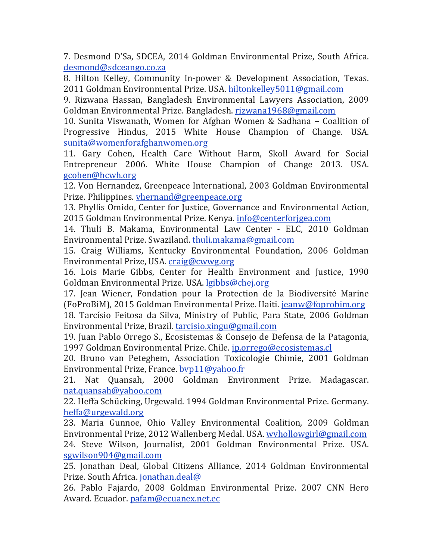7. Desmond D'Sa, SDCEA, 2014 Goldman Environmental Prize, South Africa. desmond@sdceango.co.za

8. Hilton Kelley, Community In-power & Development Association, Texas. 2011 Goldman Environmental Prize. USA. hiltonkelley5011@gmail.com

9. Rizwana Hassan, Bangladesh Environmental Lawyers Association, 2009 Goldman Environmental Prize. Bangladesh. rizwana1968@gmail.com

10. Sunita Viswanath, Women for Afghan Women & Sadhana – Coalition of Progressive Hindus, 2015 White House Champion of Change. USA. sunita@womenforafghanwomen.org

11. Gary Cohen, Health Care Without Harm, Skoll Award for Social Entrepreneur 2006. White House Champion of Change 2013. USA. gcohen@hcwh.org

12. Von Hernandez, Greenpeace International, 2003 Goldman Environmental Prize. Philippines. vhernand@greenpeace.org

13. Phyllis Omido, Center for Justice, Governance and Environmental Action, 2015 Goldman Environmental Prize. Kenya. info@centerforjgea.com

14. Thuli B. Makama, Environmental Law Center - ELC, 2010 Goldman Environmental Prize. Swaziland. thuli.makama@gmail.com

15. Craig Williams, Kentucky Environmental Foundation, 2006 Goldman Environmental Prize, USA. craig@cwwg.org

16. Lois Marie Gibbs, Center for Health Environment and Justice, 1990 Goldman Environmental Prize. USA. lgibbs@chej.org

17. Jean Wiener, Fondation pour la Protection de la Biodiversité Marine (FoProBiM), 2015 Goldman Environmental Prize. Haiti. jeanw@foprobim.org 18. Tarcísio Feitosa da Silva, Ministry of Public, Para State, 2006 Goldman Environmental Prize, Brazil. tarcisio.xingu@gmail.com

19. Juan Pablo Orrego S., Ecosistemas & Consejo de Defensa de la Patagonia, 1997 Goldman Environmental Prize. Chile. jp.orrego@ecosistemas.cl

20. Bruno van Peteghem, Association Toxicologie Chimie, 2001 Goldman Environmental Prize, France. byp11@yahoo.fr

21. Nat Quansah, 2000 Goldman Environment Prize. Madagascar. nat.quansah@yahoo.com

22. Heffa Schücking, Urgewald. 1994 Goldman Environmental Prize. Germany. heffa@urgewald.org

23. Maria Gunnoe, Ohio Valley Environmental Coalition, 2009 Goldman Environmental Prize, 2012 Wallenberg Medal. USA. wyhollowgirl@gmail.com 24. Steve Wilson, Journalist, 2001 Goldman Environmental Prize. USA. sgwilson904@gmail.com

25. Jonathan Deal, Global Citizens Alliance, 2014 Goldman Environmental Prize. South Africa. jonathan.deal@

26. Pablo Fajardo, 2008 Goldman Environmental Prize. 2007 CNN Hero Award. Ecuador. pafam@ecuanex.net.ec